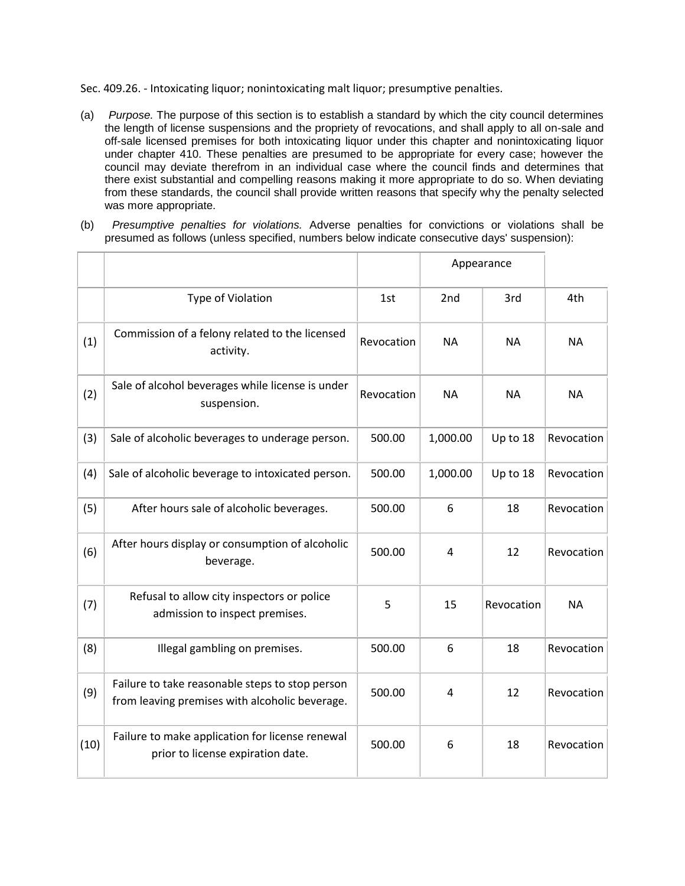Sec. 409.26. - Intoxicating liquor; nonintoxicating malt liquor; presumptive penalties.

- (a) *Purpose.* The purpose of this section is to establish a standard by which the city council determines the length of license suspensions and the propriety of revocations, and shall apply to all on-sale and off-sale licensed premises for both intoxicating liquor under this chapter and nonintoxicating liquor under chapter 410. These penalties are presumed to be appropriate for every case; however the council may deviate therefrom in an individual case where the council finds and determines that there exist substantial and compelling reasons making it more appropriate to do so. When deviating from these standards, the council shall provide written reasons that specify why the penalty selected was more appropriate.
- (b) *Presumptive penalties for violations.* Adverse penalties for convictions or violations shall be presumed as follows (unless specified, numbers below indicate consecutive days' suspension):

|      |                                                                                                   |            | Appearance |            |            |
|------|---------------------------------------------------------------------------------------------------|------------|------------|------------|------------|
|      | Type of Violation                                                                                 | 1st        | 2nd        | 3rd        | 4th        |
| (1)  | Commission of a felony related to the licensed<br>activity.                                       | Revocation | <b>NA</b>  | <b>NA</b>  | <b>NA</b>  |
| (2)  | Sale of alcohol beverages while license is under<br>suspension.                                   | Revocation | <b>NA</b>  | <b>NA</b>  | <b>NA</b>  |
| (3)  | Sale of alcoholic beverages to underage person.                                                   | 500.00     | 1,000.00   | Up to 18   | Revocation |
| (4)  | Sale of alcoholic beverage to intoxicated person.                                                 | 500.00     | 1,000.00   | Up to 18   | Revocation |
| (5)  | After hours sale of alcoholic beverages.                                                          | 500.00     | 6          | 18         | Revocation |
| (6)  | After hours display or consumption of alcoholic<br>beverage.                                      | 500.00     | 4          | 12         | Revocation |
| (7)  | Refusal to allow city inspectors or police<br>admission to inspect premises.                      | 5          | 15         | Revocation | <b>NA</b>  |
| (8)  | Illegal gambling on premises.                                                                     | 500.00     | 6          | 18         | Revocation |
| (9)  | Failure to take reasonable steps to stop person<br>from leaving premises with alcoholic beverage. | 500.00     | 4          | 12         | Revocation |
| (10) | Failure to make application for license renewal<br>prior to license expiration date.              | 500.00     | 6          | 18         | Revocation |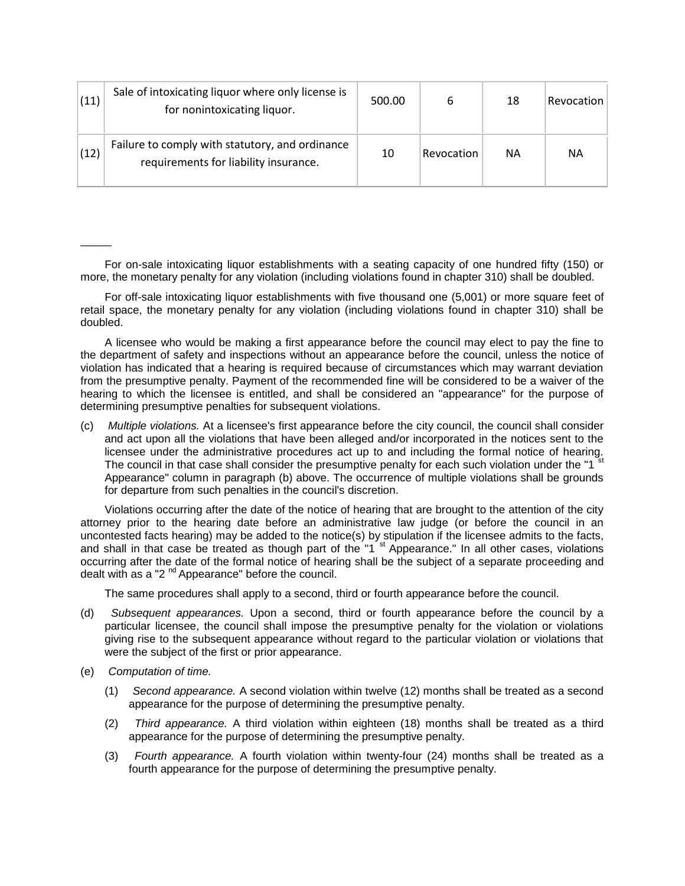| (11) | Sale of intoxicating liquor where only license is<br>for nonintoxicating liquor.         | 500.00 | 6          | 18 | Revocation |
|------|------------------------------------------------------------------------------------------|--------|------------|----|------------|
| (12) | Failure to comply with statutory, and ordinance<br>requirements for liability insurance. | 10     | Revocation | ΝA | ΝA         |

For on-sale intoxicating liquor establishments with a seating capacity of one hundred fifty (150) or more, the monetary penalty for any violation (including violations found in chapter 310) shall be doubled.

For off-sale intoxicating liquor establishments with five thousand one (5,001) or more square feet of retail space, the monetary penalty for any violation (including violations found in chapter 310) shall be doubled.

A licensee who would be making a first appearance before the council may elect to pay the fine to the department of safety and inspections without an appearance before the council, unless the notice of violation has indicated that a hearing is required because of circumstances which may warrant deviation from the presumptive penalty. Payment of the recommended fine will be considered to be a waiver of the hearing to which the licensee is entitled, and shall be considered an "appearance" for the purpose of determining presumptive penalties for subsequent violations.

(c) *Multiple violations.* At a licensee's first appearance before the city council, the council shall consider and act upon all the violations that have been alleged and/or incorporated in the notices sent to the licensee under the administrative procedures act up to and including the formal notice of hearing. The council in that case shall consider the presumptive penalty for each such violation under the "1<sup>"st</sup> Appearance" column in paragraph (b) above. The occurrence of multiple violations shall be grounds for departure from such penalties in the council's discretion.

Violations occurring after the date of the notice of hearing that are brought to the attention of the city attorney prior to the hearing date before an administrative law judge (or before the council in an uncontested facts hearing) may be added to the notice(s) by stipulation if the licensee admits to the facts, and shall in that case be treated as though part of the "1<sup>'st</sup> Appearance." In all other cases, violations occurring after the date of the formal notice of hearing shall be the subject of a separate proceeding and dealt with as a " $2<sup>nd</sup>$  Appearance" before the council.

The same procedures shall apply to a second, third or fourth appearance before the council.

- (d) *Subsequent appearances.* Upon a second, third or fourth appearance before the council by a particular licensee, the council shall impose the presumptive penalty for the violation or violations giving rise to the subsequent appearance without regard to the particular violation or violations that were the subject of the first or prior appearance.
- (e) *Computation of time.*

 $\overline{\phantom{a}}$ 

- (1) *Second appearance.* A second violation within twelve (12) months shall be treated as a second appearance for the purpose of determining the presumptive penalty.
- (2) *Third appearance.* A third violation within eighteen (18) months shall be treated as a third appearance for the purpose of determining the presumptive penalty.
- (3) *Fourth appearance.* A fourth violation within twenty-four (24) months shall be treated as a fourth appearance for the purpose of determining the presumptive penalty.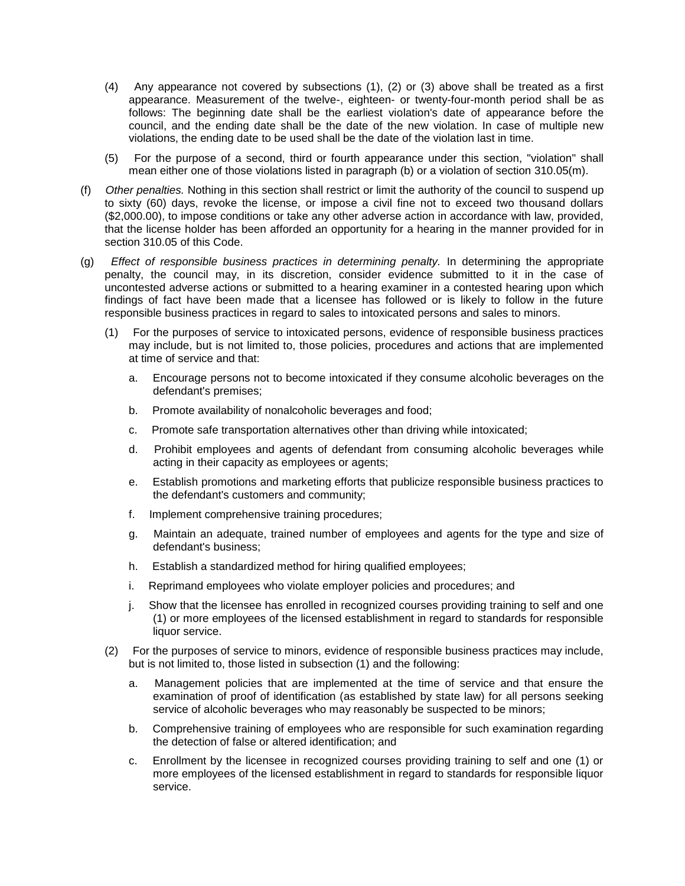- (4) Any appearance not covered by subsections (1), (2) or (3) above shall be treated as a first appearance. Measurement of the twelve-, eighteen- or twenty-four-month period shall be as follows: The beginning date shall be the earliest violation's date of appearance before the council, and the ending date shall be the date of the new violation. In case of multiple new violations, the ending date to be used shall be the date of the violation last in time.
- (5) For the purpose of a second, third or fourth appearance under this section, "violation" shall mean either one of those violations listed in paragraph (b) or a violation of section 310.05(m).
- (f) *Other penalties.* Nothing in this section shall restrict or limit the authority of the council to suspend up to sixty (60) days, revoke the license, or impose a civil fine not to exceed two thousand dollars (\$2,000.00), to impose conditions or take any other adverse action in accordance with law, provided, that the license holder has been afforded an opportunity for a hearing in the manner provided for in section 310.05 of this Code.
- (g) *Effect of responsible business practices in determining penalty.* In determining the appropriate penalty, the council may, in its discretion, consider evidence submitted to it in the case of uncontested adverse actions or submitted to a hearing examiner in a contested hearing upon which findings of fact have been made that a licensee has followed or is likely to follow in the future responsible business practices in regard to sales to intoxicated persons and sales to minors.
	- (1) For the purposes of service to intoxicated persons, evidence of responsible business practices may include, but is not limited to, those policies, procedures and actions that are implemented at time of service and that:
		- a. Encourage persons not to become intoxicated if they consume alcoholic beverages on the defendant's premises;
		- b. Promote availability of nonalcoholic beverages and food;
		- c. Promote safe transportation alternatives other than driving while intoxicated;
		- d. Prohibit employees and agents of defendant from consuming alcoholic beverages while acting in their capacity as employees or agents;
		- e. Establish promotions and marketing efforts that publicize responsible business practices to the defendant's customers and community;
		- f. Implement comprehensive training procedures;
		- g. Maintain an adequate, trained number of employees and agents for the type and size of defendant's business;
		- h. Establish a standardized method for hiring qualified employees;
		- i. Reprimand employees who violate employer policies and procedures; and
		- j. Show that the licensee has enrolled in recognized courses providing training to self and one (1) or more employees of the licensed establishment in regard to standards for responsible liquor service.
	- (2) For the purposes of service to minors, evidence of responsible business practices may include, but is not limited to, those listed in subsection (1) and the following:
		- a. Management policies that are implemented at the time of service and that ensure the examination of proof of identification (as established by state law) for all persons seeking service of alcoholic beverages who may reasonably be suspected to be minors;
		- b. Comprehensive training of employees who are responsible for such examination regarding the detection of false or altered identification; and
		- c. Enrollment by the licensee in recognized courses providing training to self and one (1) or more employees of the licensed establishment in regard to standards for responsible liquor service.